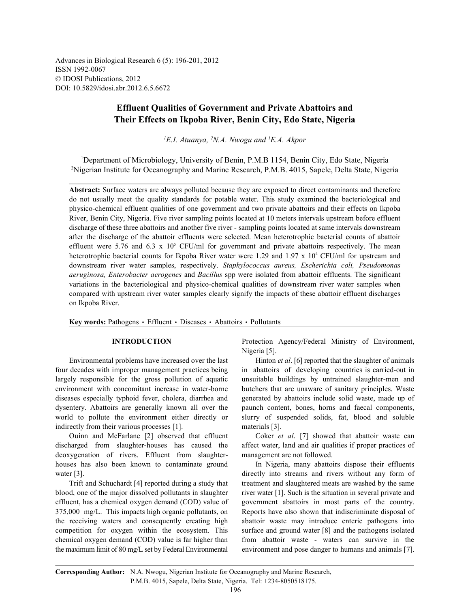Advances in Biological Research 6 (5): 196-201, 2012 ISSN 1992-0067 © IDOSI Publications, 2012 DOI: 10.5829/idosi.abr.2012.6.5.6672

# **Effluent Qualities of Government and Private Abattoirs and Their Effects on Ikpoba River, Benin City, Edo State, Nigeria**

 $E.I. Atuanya, <sup>2</sup>N.A. Nwogu and <sup>1</sup>E.A. Akpor$ 

<sup>1</sup>Department of Microbiology, University of Benin, P.M.B 1154, Benin City, Edo State, Nigeria <sup>2</sup>Nigerian Institute for Oceanography and Marine Research, P.M.B. 4015, Sapele, Delta State, Nigeria

**Abstract:** Surface waters are always polluted because they are exposed to direct contaminants and therefore do not usually meet the quality standards for potable water. This study examined the bacteriological and physico-chemical effluent qualities of one government and two private abattoirs and their effects on Ikpoba River, Benin City, Nigeria. Five river sampling points located at 10 meters intervals upstream before effluent discharge of these three abattoirs and another five river - sampling points located at same intervals downstream after the discharge of the abattoir effluents were selected. Mean heterotrophic bacterial counts of abattoir effluent were 5.76 and 6.3 x  $10^5$  CFU/ml for government and private abattoirs respectively. The mean heterotrophic bacterial counts for Ikpoba River water were 1.29 and 1.97 x  $10<sup>4</sup>$  CFU/ml for upstream and downstream river water samples, respectively. *Staphylococcus aureus, Escherichia coli, Pseudomonas aeruginosa, Enterobacter aerogenes* and *Bacillus* spp were isolated from abattoir effluents. The significant variations in the bacteriological and physico-chemical qualities of downstream river water samples when compared with upstream river water samples clearly signify the impacts of these abattoir effluent discharges on Ikpoba River.

Key words: Pathogens · Effluent · Diseases · Abattoirs · Pollutants

four decades with improper management practices being in abattoirs of developing countries is carried-out in largely responsible for the gross pollution of aquatic unsuitable buildings by untrained slaughter-men and environment with concomitant increase in water-borne butchers that are unaware of sanitary principles. Waste diseases especially typhoid fever, cholera, diarrhea and generated by abattoirs include solid waste, made up of dysentery. Abattoirs are generally known all over the paunch content, bones, horns and faecal components, world to pollute the environment either directly or slurry of suspended solids, fat, blood and soluble indirectly from their various processes [1]. materials [3].

discharged from slaughter-houses has caused the affect water, land and air qualities if proper practices of deoxygenation of rivers. Effluent from slaughter- management are not followed. houses has also been known to contaminate ground In Nigeria, many abattoirs dispose their effluents water [3].  $\frac{d}{dx}$  directly into streams and rivers without any form of

blood, one of the major dissolved pollutants in slaughter river water [1]. Such is the situation in several private and effluent, has a chemical oxygen demand (COD) value of government abattoirs in most parts of the country. 375,000 mg/L. This impacts high organic pollutants, on Reports have also shown that indiscriminate disposal of the receiving waters and consequently creating high abattoir waste may introduce enteric pathogens into competition for oxygen within the ecosystem. This surface and ground water [8] and the pathogens isolated chemical oxygen demand (COD) value is far higher than from abattoir waste - waters can survive in the the maximum limit of 80 mg/L set by Federal Environmental environment and pose danger to humans and animals [7].

**INTRODUCTION** Protection Agency/Federal Ministry of Environment, Nigeria [5].

Environmental problems have increased over the last Hinton *et al.* [6] reported that the slaughter of animals

Ouinn and McFarlane [2] observed that effluent Coker *et al*. [7] showed that abattoir waste can

Trift and Schuchardt [4] reported during a study that treatment and slaughtered meats are washed by the same

**Corresponding Author:** N.A. Nwogu, Nigerian Institute for Oceanography and Marine Research,

P.M.B. 4015, Sapele, Delta State, Nigeria. Tel: +234-8050518175.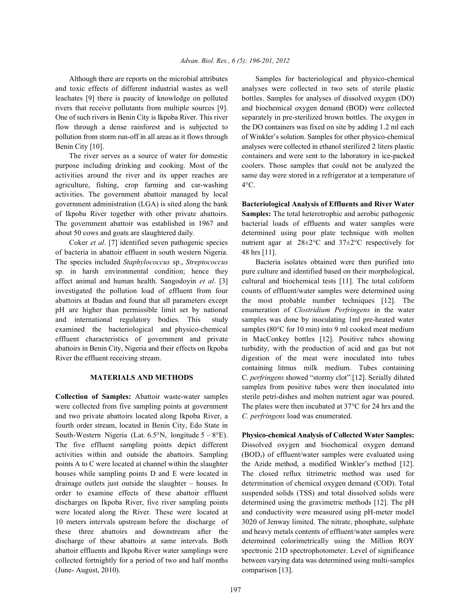and toxic effects of different industrial wastes as well analyses were collected in two sets of sterile plastic leachates [9] there is paucity of knowledge on polluted bottles. Samples for analyses of dissolved oxygen (DO) rivers that receive pollutants from multiple sources [9]. and biochemical oxygen demand (BOD) were collected One of such rivers in Benin City is Ikpoba River. This river separately in pre-sterilized brown bottles. The oxygen in flow through a dense rainforest and is subjected to the DO containers was fixed on site by adding 1.2 ml each pollution from storm run-off in all areas as it flows through of Winkler's solution. Samples for other physico-chemical Benin City [10]. **analyses were collected in ethanol sterilized 2 liters plastic** 

purpose including drinking and cooking. Most of the coolers. Those samples that could not be analyzed the activities around the river and its upper reaches are same day were stored in a refrigerator at a temperature of agriculture, fishing, crop farming and car-washing 4°C. activities. The government abattoir managed by local government administration (LGA) is sited along the bank **Bacteriological Analysis of Effluents and River Water** of Ikpoba River together with other private abattoirs. **Samples:** The total heterotrophic and aerobic pathogenic The government abattoir was established in 1967 and bacterial loads of effluents and water samples were about 50 cows and goats are slaughtered daily. determined using pour plate technique with molten

of bacteria in abattoir effluent in south western Nigeria. 48 hrs [11]. The species included *Staphylococcus* sp., *Streptococcus* Bacteria isolates obtained were then purified into sp. in harsh environmental condition; hence they pure culture and identified based on their morphological, affect animal and human health. Sangodoyin *et al*. [3] cultural and biochemical tests [11]. The total coliform investigated the pollution load of effluent from four counts of effluent/water samples were determined using abattoirs at Ibadan and found that all parameters except the most probable number techniques [12]. The pH are higher than permissible limit set by national enumeration of *Clostridium Perfringens* in the water and international regulatory bodies. This study samples was done by inoculating 1ml pre-heated water examined the bacteriological and physico-chemical samples (80°C for 10 min) into 9 ml cooked meat medium effluent characteristics of government and private in MacConkey bottles [12]. Positive tubes showing abattoirs in Benin City, Nigeria and their effects on Ikpoba turbidity, with the production of acid and gas but not River the effluent receiving stream. digestion of the meat were inoculated into tubes

were collected from five sampling points at government The plates were then incubated at 37°C for 24 hrs and the and two private abattoirs located along Ikpoba River, a *C. perfringens* load was enumerated. fourth order stream, located in Benin City, Edo State in South-Western Nigeria (Lat. 6.5°N, longitude 5 – 8°E). **Physico-chemical Analysis of Collected Water Samples:** The five effluent sampling points depict different Dissolved oxygen and biochemical oxygen demand activities within and outside the abattoirs. Sampling  $(BOD<sub>s</sub>)$  of effluent/water samples were evaluated using points A to C were located at channel within the slaughter the Azide method, a modified Winkler's method [12]. houses while sampling points D and E were located in The closed reflux titrimetric method was used for drainage outlets just outside the slaughter – houses. In determination of chemical oxygen demand (COD). Total order to examine effects of these abattoir effluent suspended solids (TSS) and total dissolved solids were discharges on Ikpoba River, five river sampling points determined using the gravimetric methods [12]. The pH were located along the River. These were located at and conductivity were measured using pH-meter model 10 meters intervals upstream before the discharge of 3020 of Jenway limited. The nitrate, phosphate, sulphate these three abattoirs and downstream after the and heavy metals contents of effluent/water samples were discharge of these abattoirs at same intervals. Both determined colorimetrically using the Million ROY abattoir effluents and Ikpoba River water samplings were spectronic 21D spectrophotometer. Level of significance collected fortnightly for a period of two and half months between varying data was determined using multi-samples (June- August, 2010). comparison [13].

Although there are reports on the microbial attributes Samples for bacteriological and physico-chemical The river serves as a source of water for domestic containers and were sent to the laboratory in ice-packed

Coker *et al.* [7] identified seven pathogenic species nutrient agar at  $28\pm2\degree C$  and  $37\pm2\degree C$  respectively for

**MATERIALS AND METHODS** C. *perfringens* showed "stormy clot" [12]. Serially diluted **Collection of Samples:** Abattoir waste-water samples sterile petri-dishes and molten nutrient agar was poured. containing litmus milk medium. Tubes containing samples from positive tubes were then inoculated into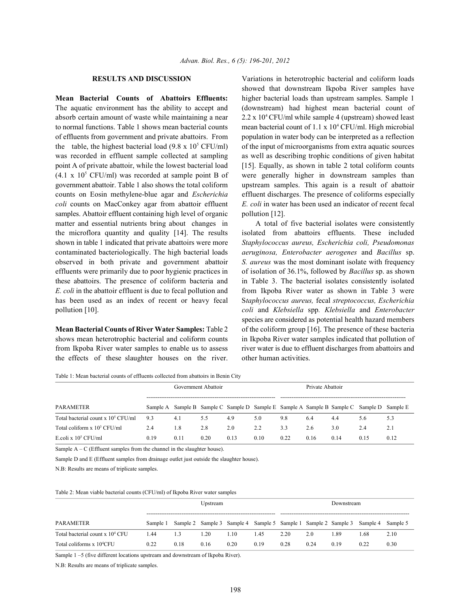The aquatic environment has the ability to accept and (downstream) had highest mean bacterial count of absorb certain amount of waste while maintaining a near  $2.2 \times 10^4$  CFU/ml while sample 4 (upstream) showed least to normal functions. Table 1 shows mean bacterial counts mean bacterial count of  $1.1 \times 10^4$  CFU/ml. High microbial of effluents from government and private abattoirs. From population in water body can be interpreted as a reflection the table, the highest bacterial load (9.8 x  $10^5$  CFU/ml) of the input of microorganisms from extra aquatic sources was recorded in effluent sample collected at sampling as well as describing trophic conditions of given habitat point A of private abattoir, while the lowest bacterial load [15]. Equally, as shown in table 2 total coliform counts  $(4.1 \times 10^5 \text{ CFU/ml})$  was recorded at sample point B of were generally higher in downstream samples than government abattoir. Table 1 also shows the total coliform upstream samples. This again is a result of abattoir counts on Eosin methylene-blue agar and *Escherichia* effluent discharges. The presence of coliforms especially *coli* counts on MacConkey agar from abattoir effluent *E. coli* in water has been used an indicator of recent fecal samples. Abattoir effluent containing high level of organic pollution [12]. matter and essential nutrients bring about changes in A total of five bacterial isolates were consistently the microflora quantity and quality [14]. The results isolated from abattoirs effluents. These included shown in table 1 indicated that private abattoirs were more *Staphylococcus aureus, Escherichia coli, Pseudomonas* contaminated bacteriologically. The high bacterial loads *aeruginosa, Enterobacter aerogenes* and *Bacillus* sp. observed in both private and government abattoir *S. aureus* was the most dominant isolate with frequency effluents were primarily due to poor hygienic practices in of isolation of 36.1%, followed by *Bacillus* sp. as shown these abattoirs. The presence of coliform bacteria and in Table 3. The bacterial isolates consistently isolated *E. coli* in the abattoir effluent is due to fecal pollution and from Ikpoba River water as shown in Table 3 were has been used as an index of recent or heavy fecal S*taphylococcus aureus,* fecal *streptococcus, Escherichia* pollution [10]. *coli* and *Klebsiella* spp*. Klebsiella* and *Enterobacter*

shows mean heterotrophic bacterial and coliform counts in Ikpoba River water samples indicated that pollution of from Ikpoba River water samples to enable us to assess river water is due to effluent discharges from abattoirs and the effects of these slaughter houses on the river. other human activities.

**RESULTS AND DISCUSSION** Variations in heterotrophic bacterial and coliform loads **Mean Bacterial Counts of Abattoirs Effluents:** higher bacterial loads than upstream samples. Sample 1 showed that downstream Ikpoba River samples have

**Mean Bacterial Counts of River Water Samples:** Table 2 of the coliform group [16]. The presence of these bacteria species are considered as potential health hazard members

Table 1: Mean bacterial counts of effluents collected from abattoirs in Benin City

|                                           |          | Government Abattoir |      |      | Private Abattoir |      |      |      |                                                                                  |      |
|-------------------------------------------|----------|---------------------|------|------|------------------|------|------|------|----------------------------------------------------------------------------------|------|
| <b>PARAMETER</b>                          | Sample A |                     |      |      |                  |      |      |      | Sample B Sample C Sample D Sample E Sample A Sample B Sample C Sample D Sample E |      |
| Total bacterial count $x 10^5$ CFU/ml     | 9.3      | 4.1                 | 5.5  | 4.9  | 5.0              | 9.8  | 6.4  | 4.4  | 5.6                                                                              | 5.3  |
| Total coliform $x$ 10 <sup>3</sup> CFU/ml | 2.4      | 1.8                 | 2.8  | 2.0  | 2.2              | 3.3  | 2.6  | 3.0  | 2.4                                                                              | 2.1  |
| E coli x $10^5$ CFU/ml                    | 0.19     | 0.11                | 0.20 | 0.13 | 0.10             | 0.22 | 0.16 | 0.14 | 0.15                                                                             | 0.12 |

Sample  $A - C$  (Effluent samples from the channel in the slaughter house).

Sample D and E (Effluent samples from drainage outlet just outside the slaughter house).

N.B: Results are means of triplicate samples.

### Table 2: Mean viable bacterial counts (CFU/ml) of Ikpoba River water samples

|                                             | Upstream |      |      |      | Downstream |      |      |                                                                         |      |          |
|---------------------------------------------|----------|------|------|------|------------|------|------|-------------------------------------------------------------------------|------|----------|
| PARAMETER                                   | Sample 1 |      |      |      |            |      |      | Sample 2 Sample 3 Sample 4 Sample 5 Sample 1 Sample 2 Sample 3 Sample 4 |      | Sample 5 |
| Total bacterial count x 10 <sup>4</sup> CFU | 1.44     | 1.3  | 1.20 | 1.10 | 1.45       | 2.20 | 2.0  | L 89                                                                    | 1.68 | 2.10     |
| Total coliforms x 10 <sup>4</sup> CFU       | 0.22     | 0.18 | 0.16 | 0.20 | 0.19       | 0.28 | 0.24 | 0.19                                                                    | 0.22 | 0.30     |

Sample 1 –5 (five different locations upstream and downstream of Ikpoba River).

N.B: Results are means of triplicate samples.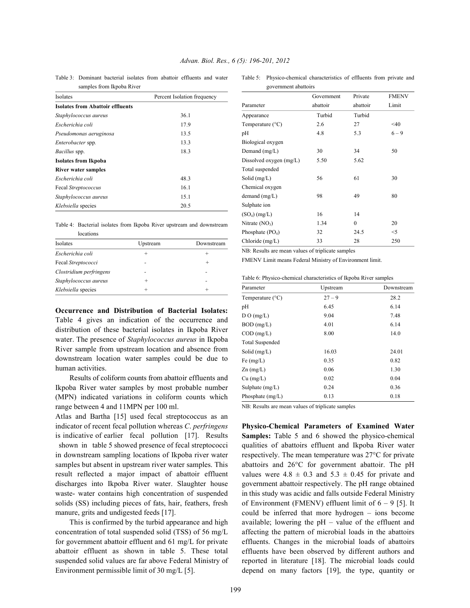|  |  | Advan. Biol. Res., 6 (5): 196-201, 2012 |  |
|--|--|-----------------------------------------|--|
|  |  |                                         |  |

samples from Ikpoba River

Table 3: Dominant bacterial isolates from abattoir effluents and water Table 5: Physico-chemical characteristics of effluents from private and government abattoirs

| $\frac{1}{2}$                           |                             |  |  |  |  |
|-----------------------------------------|-----------------------------|--|--|--|--|
| Isolates                                | Percent Isolation frequency |  |  |  |  |
| <b>Isolates from Abattoir effluents</b> |                             |  |  |  |  |
| Staphylococcus aureus                   | 36.1                        |  |  |  |  |
| Escherichia coli                        | 17.9                        |  |  |  |  |
| Pseudomonas aeruginosa                  | 13.5                        |  |  |  |  |
| <i>Enterobacter</i> spp.                | 13.3                        |  |  |  |  |
| Bacillus spp.                           | 18.3                        |  |  |  |  |
| Isolates from Ikpoba                    |                             |  |  |  |  |
| River water samples                     |                             |  |  |  |  |
| Escherichia coli                        | 48.3                        |  |  |  |  |
| Fecal Streptococcus                     | 16.1                        |  |  |  |  |
| Staphylococcus aureus                   | 15.1                        |  |  |  |  |
| <i>Klebsiella</i> species               | 20.5                        |  |  |  |  |

|           |  |  |  | Table 4: Bacterial isolates from Ikpoba River upstream and downstream |
|-----------|--|--|--|-----------------------------------------------------------------------|
| locations |  |  |  |                                                                       |

| Isolates                | Upstream | Downstream |
|-------------------------|----------|------------|
| Escherichia coli        |          |            |
| Fecal Streptococci      |          |            |
| Clostridium perfringens |          |            |
| Staphylococcus aureus   | $^{+}$   |            |
| Klebsiella species      | $^+$     |            |

**Occurrence and Distribution of Bacterial Isolates:** Table 4 gives an indication of the occurrence and distribution of these bacterial isolates in Ikpoba River water. The presence of *Staphylococcus aureus* in Ikpoba River sample from upstream location and absence from downstream location water samples could be due to human activities.

Results of coliform counts from abattoir effluents and Ikpoba River water samples by most probable number (MPN) indicated variations in coliform counts which range between 4 and 11MPN per 100 ml.

Atlas and Bartha [15] used fecal streptococcus as an indicator of recent fecal pollution whereas *C*. *perfringens* is indicative of earlier fecal pollution [17]. Results shown in table 5 showed presence of fecal streptococci in downstream sampling locations of Ikpoba river water samples but absent in upstream river water samples. This result reflected a major impact of abattoir effluent discharges into Ikpoba River water. Slaughter house waste- water contains high concentration of suspended solids (SS) including pieces of fats, hair, feathers, fresh manure, grits and undigested feeds [17].

This is confirmed by the turbid appearance and high concentration of total suspended solid (TSS) of 56 mg/L for government abattoir effluent and 61 mg/L for private abattoir effluent as shown in table 5. These total suspended solid values are far above Federal Ministry of Environment permissible limit of 30 mg/L [5].

| government abattons       |            |          |              |  |  |
|---------------------------|------------|----------|--------------|--|--|
|                           | Government | Private  | <b>FMENV</b> |  |  |
| Parameter                 | abattoir   | abattoir | Limit        |  |  |
| Appearance                | Turbid     | Turbid   |              |  |  |
| Temperature $(^{\circ}C)$ | 2.6        | 27       | $\leq 40$    |  |  |
| pH                        | 4.8        | 5.3      | $6 - 9$      |  |  |
| Biological oxygen         |            |          |              |  |  |
| Demand $(mg/L)$           | 30         | 34       | 50           |  |  |
| Dissolved oxygen $(mg/L)$ | 5.50       | 5.62     |              |  |  |
| Total suspended           |            |          |              |  |  |
| Solid $(mg/L)$            | 56         | 61       | 30           |  |  |
| Chemical oxygen           |            |          |              |  |  |
| demand $(mg/L)$           | 98         | 49       | 80           |  |  |
| Sulphate ion              |            |          |              |  |  |
| $(SO4)$ (mg/L)            | 16         | 14       |              |  |  |
| Nitrate $(NO3)$           | 1.34       | $\theta$ | 20           |  |  |
| Phosphate $(PO4)$         | 32         | 24.5     | $<$ 5        |  |  |
| Chloride $(mg/L)$         | 33         | 28       | 250          |  |  |

NB: Results are mean values of triplicate samples

FMENV Limit means Federal Ministry of Environment limit.

|  |  | Table 6: Physico-chemical characteristics of Ikpoba River samples |
|--|--|-------------------------------------------------------------------|
|  |  |                                                                   |

| Parameter                 | Upstream | Downstream |
|---------------------------|----------|------------|
| Temperature $(^{\circ}C)$ | $27 - 9$ | 28.2       |
| pH                        | 6.45     | 6.14       |
| D O (mg/L)                | 9.04     | 7.48       |
| $BOD$ (mg/L)              | 4.01     | 6.14       |
| $COD$ (mg/L)              | 8.00     | 14.0       |
| <b>Total Suspended</b>    |          |            |
| Solid $(mg/L)$            | 16.03    | 24.01      |
| Fe $(mg/L)$               | 0.35     | 0.82       |
| $Zn$ (mg/L)               | 0.06     | 1.30       |
| $Cu$ (mg/L)               | 0.02     | 0.04       |
| Sulphate $(mg/L)$         | 0.24     | 0.36       |
| Phosphate $(mg/L)$        | 0.13     | 0.18       |

NB: Results are mean values of triplicate samples

**Physico-Chemical Parameters of Examined Water Samples:** Table 5 and 6 showed the physico-chemical qualities of abattoirs effluent and Ikpoba River water respectively. The mean temperature was 27°C for private abattoirs and 26°C for government abattoir. The pH values were  $4.8 \pm 0.3$  and  $5.3 \pm 0.45$  for private and government abattoir respectively. The pH range obtained in this study was acidic and falls outside Federal Ministry of Environment (FMENV) effluent limit of 6 – 9 [5]. It could be inferred that more hydrogen – ions become available; lowering the pH – value of the effluent and affecting the pattern of microbial loads in the abattoirs effluents. Changes in the microbial loads of abattoirs effluents have been observed by different authors and reported in literature [18]. The microbial loads could depend on many factors [19], the type, quantity or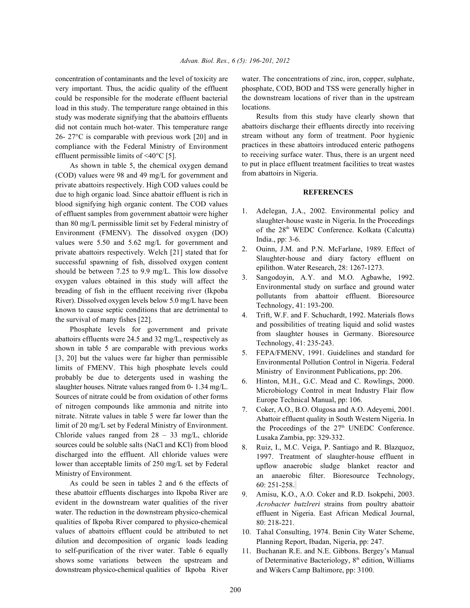concentration of contaminants and the level of toxicity are water. The concentrations of zinc, iron, copper, sulphate, very important. Thus, the acidic quality of the effluent could be responsible for the moderate effluent bacterial load in this study. The temperature range obtained in this study was moderate signifying that the abattoirs effluents did not contain much hot-water. This temperature range 26- 27°C is comparable with previous work [20] and in compliance with the Federal Ministry of Environment effluent permissible limits of <40°C [5].

As shown in table 5, the chemical oxygen demand (COD) values were 98 and 49 mg/L for government and private abattoirs respectively. High COD values could be due to high organic load. Since abattoir effluent is rich in blood signifying high organic content. The COD values of effluent samples from government abattoir were higher than 80 mg/L permissible limit set by Federal ministry of Environment (FMENV). The dissolved oxygen (DO) values were 5.50 and 5.62 mg/L for government and private abattoirs respectively. Welch [21] stated that for successful spawning of fish, dissolved oxygen content should be between 7.25 to 9.9 mg/L. This low dissolve oxygen values obtained in this study will affect the breading of fish in the effluent receiving river (Ikpoba River). Dissolved oxygen levels below 5.0 mg/L have been known to cause septic conditions that are detrimental to the survival of many fishes [22].

Phosphate levels for government and private abattoirs effluents were 24.5 and 32 mg/L, respectively as shown in table 5 are comparable with previous works [3, 20] but the values were far higher than permissible limits of FMENV. This high phosphate levels could probably be due to detergents used in washing the slaughter houses. Nitrate values ranged from 0- 1.34 mg/L. Sources of nitrate could be from oxidation of other forms of nitrogen compounds like ammonia and nitrite into nitrate. Nitrate values in table 5 were far lower than the limit of 20 mg/L set by Federal Ministry of Environment. Chloride values ranged from 28 – 33 mg/L, chloride sources could be soluble salts (NaCl and KCl) from blood discharged into the effluent. All chloride values were lower than acceptable limits of 250 mg/L set by Federal Ministry of Environment.

As could be seen in tables 2 and 6 the effects of these abattoir effluents discharges into Ikpoba River are evident in the downstream water qualities of the river water. The reduction in the downstream physico-chemical qualities of Ikpoba River compared to physico-chemical values of abattoirs effluent could be attributed to net dilution and decomposition of organic loads leading to self-purification of the river water. Table 6 equally shows some variations between the upstream and downstream physico-chemical qualities of Ikpoba River

phosphate, COD, BOD and TSS were generally higher in the downstream locations of river than in the upstream locations.

Results from this study have clearly shown that abattoirs discharge their effluents directly into receiving stream without any form of treatment. Poor hygienic practices in these abattoirs introduced enteric pathogens to receiving surface water. Thus, there is an urgent need to put in place effluent treatment facilities to treat wastes from abattoirs in Nigeria.

## **REFERENCES**

- 1. Adelegan, J.A., 2002. Environmental policy and slaughter-house waste in Nigeria. In the Proceedings of the 28<sup>th</sup> WEDC Conference. Kolkata (Calcutta) India., pp: 3-6.
- 2. Ouinn, J.M. and P.N. McFarlane, 1989. Effect of Slaughter-house and diary factory effluent on epilithon. Water Research, 28: 1267-1273.
- 3. Sangodoyin, A.Y. and M.O. Agbawhe, 1992. Environmental study on surface and ground water pollutants from abattoir effluent. Bioresource Technology, 41: 193-200.
- 4. Trift, W.F. and F. Schuchardt, 1992. Materials flows and possibilities of treating liquid and solid wastes from slaughter houses in Germany. Bioresource Technology, 41: 235-243.
- 5. FEPA/FMENV, 1991. Guidelines and standard for Environmental Pollution Control in Nigeria. Federal Ministry of Environment Publications, pp: 206.
- 6. Hinton, M.H., G.C. Mead and C. Rowlings, 2000. Microbiology Control in meat Industry Flair flow Europe Technical Manual, pp: 106.
- 7. Coker, A.O., B.O. Olugosa and A.O. Adeyemi, 2001. Abattoir effluent quality in South Western Nigeria. In the Proceedings of the  $27<sup>th</sup>$  UNEDC Conference. Lusaka Zambia, pp: 329-332.
- 8. Ruiz, I., M.C. Veiga, P. Santiago and R. Blazquoz, 1997. Treatment of slaughter-house effluent in upflow anaerobic sludge blanket reactor and an anaerobic filter. Bioresource Technology, 60: 251-258.
- 9. Amisu, K.O., A.O. Coker and R.D. Isokpehi, 2003. *Acrobacter butzlreri* strains from poultry abattoir effluent in Nigeria. East African Medical Journal, 80: 218-221.
- 10. Tahal Consulting, 1974. Benin City Water Scheme, Planning Report, Ibadan, Nigeria, pp: 247.
- 11. Buchanan R.E. and N.E. Gibbons. Bergey's Manual of Determinative Bacteriology,  $8<sup>th</sup>$  edition, Williams and Wikers Camp Baltimore, pp: 3100.